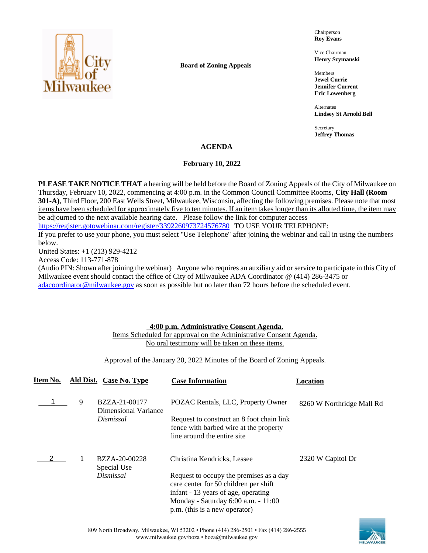

**Board of Zoning Appeals**

Chairperson **Roy Evans**

Vice Chairman **Henry Szymanski**

Members **Jewel Currie Jennifer Current Eric Lowenberg**

Alternates **Lindsey St Arnold Bell**

Secretary **Jeffrey Thomas**

### **AGENDA**

### **February 10, 2022**

**PLEASE TAKE NOTICE THAT** a hearing will be held before the Board of Zoning Appeals of the City of Milwaukee on Thursday, February 10, 2022, commencing at 4:00 p.m. in the Common Council Committee Rooms, **City Hall (Room 301-A)**, Third Floor, 200 East Wells Street, Milwaukee, Wisconsin, affecting the following premises. Please note that most items have been scheduled for approximately five to ten minutes. If an item takes longer than its allotted time, the item may be adjourned to the next available hearing date. Please follow the link for computer access <https://register.gotowebinar.com/register/3392260973724576780> TO USE YOUR TELEPHONE:

If you prefer to use your phone, you must select "Use Telephone" after joining the webinar and call in using the numbers below.

United States: +1 (213) 929-4212

Access Code: 113-771-878

(Audio PIN: Shown after joining the webinar) Anyone who requires an auxiliary aid or service to participate in this City of Milwaukee event should contact the office of City of Milwaukee ADA Coordinator @ (414) 286-3475 or [adacoordinator@milwaukee.gov](mailto:adacoordinator@milwaukee.gov) as soon as possible but no later than 72 hours before the scheduled event.

## **4:00 p.m. Administrative Consent Agenda.**

Items Scheduled for approval on the Administrative Consent Agenda. No oral testimony will be taken on these items.

Approval of the January 20, 2022 Minutes of the Board of Zoning Appeals.

| Item No. |   | Ald Dist. Case No. Type                                   | <b>Case Information</b>                                                                                                                                                                                                        | Location                  |
|----------|---|-----------------------------------------------------------|--------------------------------------------------------------------------------------------------------------------------------------------------------------------------------------------------------------------------------|---------------------------|
|          | 9 | BZZA-21-00177<br><b>Dimensional Variance</b><br>Dismissal | POZAC Rentals, LLC, Property Owner<br>Request to construct an 8 foot chain link<br>fence with barbed wire at the property<br>line around the entire site                                                                       | 8260 W Northridge Mall Rd |
|          |   | BZZA-20-00228<br>Special Use<br>Dismissal                 | Christina Kendricks, Lessee<br>Request to occupy the premises as a day<br>care center for 50 children per shift<br>infant - 13 years of age, operating<br>Monday - Saturday 6:00 a.m. - 11:00<br>p.m. (this is a new operator) | 2320 W Capitol Dr         |



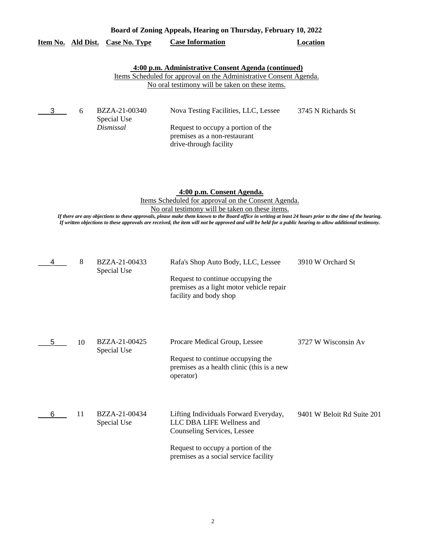|               | Board of Zoning Appeals, Hearing on Thursday, February 10, 2022 |                              |                                                                                                                                                                                     |                    |  |
|---------------|-----------------------------------------------------------------|------------------------------|-------------------------------------------------------------------------------------------------------------------------------------------------------------------------------------|--------------------|--|
|               | Item No. Ald Dist.                                              | Case No. Type                | <b>Case Information</b>                                                                                                                                                             | Location           |  |
|               |                                                                 |                              | 4:00 p.m. Administrative Consent Agenda (continued)<br><u>Items Scheduled for approval on the Administrative Consent Agenda.</u><br>No oral testimony will be taken on these items. |                    |  |
| $\frac{3}{2}$ | 6                                                               | BZZA-21-00340<br>Special Use | Nova Testing Facilities, LLC, Lessee                                                                                                                                                | 3745 N Richards St |  |
|               |                                                                 | Dismissal                    | Request to occupy a portion of the                                                                                                                                                  |                    |  |

**4:00 p.m. Consent Agenda.** Items Scheduled for approval on the Consent Agenda. No oral testimony will be taken on these items.

premises as a non-restaurant drive-through facility

*If there are any objections to these approvals, please make them known to the Board office in writing at least 24 hours prior to the time of the hearing. If written objections to these approvals are received, the item will not be approved and will be held for a public hearing to allow additional testimony.*

| 4 | 8  | BZZA-21-00433<br>Special Use | Rafa's Shop Auto Body, LLC, Lessee<br>Request to continue occupying the<br>premises as a light motor vehicle repair<br>facility and body shop                                    | 3910 W Orchard St          |
|---|----|------------------------------|----------------------------------------------------------------------------------------------------------------------------------------------------------------------------------|----------------------------|
| 5 | 10 | BZZA-21-00425<br>Special Use | Procare Medical Group, Lessee<br>Request to continue occupying the<br>premises as a health clinic (this is a new<br>operator)                                                    | 3727 W Wisconsin Av        |
| 6 | 11 | BZZA-21-00434<br>Special Use | Lifting Individuals Forward Everyday,<br>LLC DBA LIFE Wellness and<br>Counseling Services, Lessee<br>Request to occupy a portion of the<br>premises as a social service facility | 9401 W Beloit Rd Suite 201 |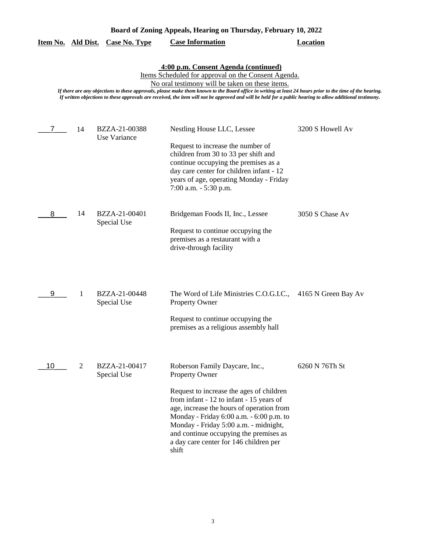|  | Board of Zoning Appeals, Hearing on Thursday, February 10, 2022 |  |  |
|--|-----------------------------------------------------------------|--|--|
|  |                                                                 |  |  |

| Item No. |  | Ald Dist. Case No. Type | <b>Case Information</b> | Location |
|----------|--|-------------------------|-------------------------|----------|
|----------|--|-------------------------|-------------------------|----------|

#### **4:00 p.m. Consent Agenda (continued)**

Items Scheduled for approval on the Consent Agenda.

No oral testimony will be taken on these items.

*If there are any objections to these approvals, please make them known to the Board office in writing at least 24 hours prior to the time of the hearing. If written objections to these approvals are received, the item will not be approved and will be held for a public hearing to allow additional testimony.*

| 7  | 14 | BZZA-21-00388<br>Use Variance | Nestling House LLC, Lessee<br>Request to increase the number of<br>children from 30 to 33 per shift and<br>continue occupying the premises as a<br>day care center for children infant - 12<br>years of age, operating Monday - Friday<br>7:00 a.m. - 5:30 p.m.                                                                                                         | 3200 S Howell Av |
|----|----|-------------------------------|-------------------------------------------------------------------------------------------------------------------------------------------------------------------------------------------------------------------------------------------------------------------------------------------------------------------------------------------------------------------------|------------------|
| 8  | 14 | BZZA-21-00401<br>Special Use  | Bridgeman Foods II, Inc., Lessee<br>Request to continue occupying the<br>premises as a restaurant with a<br>drive-through facility                                                                                                                                                                                                                                      | 3050 S Chase Av  |
| 9  | 1  | BZZA-21-00448<br>Special Use  | The Word of Life Ministries C.O.G.I.C., 4165 N Green Bay Av<br>Property Owner<br>Request to continue occupying the<br>premises as a religious assembly hall                                                                                                                                                                                                             |                  |
| 10 | 2  | BZZA-21-00417<br>Special Use  | Roberson Family Daycare, Inc.,<br>Property Owner<br>Request to increase the ages of children<br>from infant - 12 to infant - 15 years of<br>age, increase the hours of operation from<br>Monday - Friday 6:00 a.m. - 6:00 p.m. to<br>Monday - Friday 5:00 a.m. - midnight,<br>and continue occupying the premises as<br>a day care center for 146 children per<br>shift | 6260 N 76Th St   |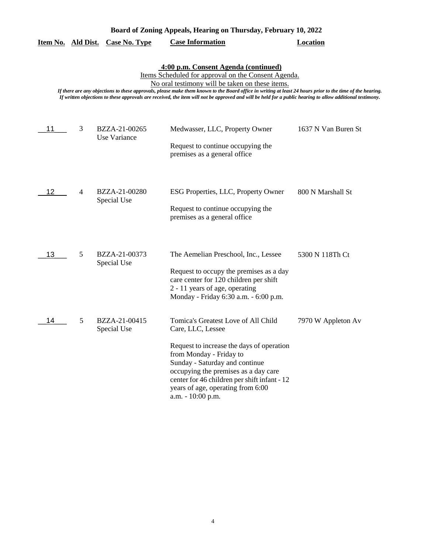|    |   |                               | 4:00 p.m. Consent Agenda (continued)<br>Items Scheduled for approval on the Consent Agenda.<br>No oral testimony will be taken on these items.<br>If there are any objections to these approvals, please make them known to the Board office in writing at least 24 hours prior to the time of the hearing.<br>If written objections to these approvals are received, the item will not be approved and will be held for a public hearing to allow additional testimony. |                     |
|----|---|-------------------------------|--------------------------------------------------------------------------------------------------------------------------------------------------------------------------------------------------------------------------------------------------------------------------------------------------------------------------------------------------------------------------------------------------------------------------------------------------------------------------|---------------------|
| 11 | 3 | BZZA-21-00265<br>Use Variance | Medwasser, LLC, Property Owner<br>Request to continue occupying the<br>premises as a general office                                                                                                                                                                                                                                                                                                                                                                      | 1637 N Van Buren St |
| 12 | 4 | BZZA-21-00280<br>Special Use  | ESG Properties, LLC, Property Owner<br>Request to continue occupying the<br>premises as a general office                                                                                                                                                                                                                                                                                                                                                                 | 800 N Marshall St   |
| 13 | 5 | BZZA-21-00373<br>Special Use  | The Aemelian Preschool, Inc., Lessee<br>Request to occupy the premises as a day<br>care center for 120 children per shift<br>2 - 11 years of age, operating<br>Monday - Friday 6:30 a.m. - 6:00 p.m.                                                                                                                                                                                                                                                                     | 5300 N 118Th Ct     |
| 14 | 5 | BZZA-21-00415<br>Special Use  | Tomica's Greatest Love of All Child<br>Care, LLC, Lessee<br>Request to increase the days of operation<br>from Monday - Friday to<br>Sunday - Saturday and continue<br>occupying the premises as a day care<br>center for 46 children per shift infant - 12<br>years of age, operating from 6:00<br>a.m. - 10:00 p.m.                                                                                                                                                     | 7970 W Appleton Av  |

**Item No. Ald Dist. Case No. Type Case Information Location**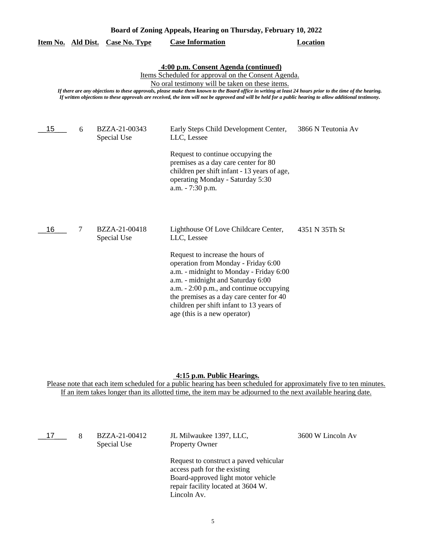| Board of Zoning Appeals, Hearing on Thursday, February 10, 2022 |   |                              |                                                                                                                                                                                                                                                                                                                                                                                                                                                                          |                    |
|-----------------------------------------------------------------|---|------------------------------|--------------------------------------------------------------------------------------------------------------------------------------------------------------------------------------------------------------------------------------------------------------------------------------------------------------------------------------------------------------------------------------------------------------------------------------------------------------------------|--------------------|
| Item No. Ald Dist.                                              |   | <b>Case No. Type</b>         | <b>Case Information</b>                                                                                                                                                                                                                                                                                                                                                                                                                                                  | <b>Location</b>    |
|                                                                 |   |                              | 4:00 p.m. Consent Agenda (continued)<br>Items Scheduled for approval on the Consent Agenda.<br>No oral testimony will be taken on these items.<br>If there are any objections to these approvals, please make them known to the Board office in writing at least 24 hours prior to the time of the hearing.<br>If written objections to these approvals are received, the item will not be approved and will be held for a public hearing to allow additional testimony. |                    |
| 15                                                              | 6 | BZZA-21-00343<br>Special Use | Early Steps Child Development Center,<br>LLC, Lessee                                                                                                                                                                                                                                                                                                                                                                                                                     | 3866 N Teutonia Av |
|                                                                 |   |                              | Request to continue occupying the<br>premises as a day care center for 80<br>children per shift infant - 13 years of age,<br>operating Monday - Saturday 5:30<br>a.m. - 7:30 p.m.                                                                                                                                                                                                                                                                                        |                    |
| 16                                                              | 7 | BZZA-21-00418<br>Special Use | Lighthouse Of Love Childcare Center,<br>LLC, Lessee                                                                                                                                                                                                                                                                                                                                                                                                                      | 4351 N 35Th St     |
|                                                                 |   |                              | Request to increase the hours of<br>operation from Monday - Friday 6:00<br>a.m. - midnight to Monday - Friday 6:00<br>a.m. - midnight and Saturday 6:00<br>a.m. - 2:00 p.m., and continue occupying<br>the premises as a day care center for 40<br>children per shift infant to 13 years of<br>age (this is a new operator)                                                                                                                                              |                    |

#### **4:15 p.m. Public Hearings.**

Please note that each item scheduled for a public hearing has been scheduled for approximately five to ten minutes. If an item takes longer than its allotted time, the item may be adjourned to the next available hearing date.

| 17 | 8 | BZZA-21-00412<br>Special Use | JL Milwaukee 1397, LLC,<br><b>Property Owner</b>                                                                                                                  | 3600 W Lincoln Av |
|----|---|------------------------------|-------------------------------------------------------------------------------------------------------------------------------------------------------------------|-------------------|
|    |   |                              | Request to construct a paved vehicular<br>access path for the existing<br>Board-approved light motor vehicle<br>repair facility located at 3604 W.<br>Lincoln Av. |                   |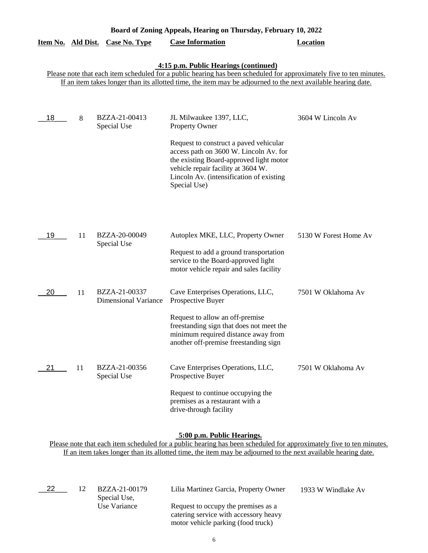|                           | Board of Zoning Appeals, Hearing on Thursday, February 10, 2022                                                                                                                                                                                                               |                                              |                                                                                                                                                                                                                                                                            |                       |  |  |
|---------------------------|-------------------------------------------------------------------------------------------------------------------------------------------------------------------------------------------------------------------------------------------------------------------------------|----------------------------------------------|----------------------------------------------------------------------------------------------------------------------------------------------------------------------------------------------------------------------------------------------------------------------------|-----------------------|--|--|
| <u>Item No. Ald Dist.</u> |                                                                                                                                                                                                                                                                               | <b>Case No. Type</b>                         | <b>Case Information</b>                                                                                                                                                                                                                                                    | <b>Location</b>       |  |  |
|                           | 4:15 p.m. Public Hearings (continued)<br>Please note that each item scheduled for a public hearing has been scheduled for approximately five to ten minutes.<br>If an item takes longer than its allotted time, the item may be adjourned to the next available hearing date. |                                              |                                                                                                                                                                                                                                                                            |                       |  |  |
| 18                        | 8                                                                                                                                                                                                                                                                             | BZZA-21-00413<br>Special Use                 | JL Milwaukee 1397, LLC,<br>Property Owner<br>Request to construct a paved vehicular<br>access path on 3600 W. Lincoln Av. for<br>the existing Board-approved light motor<br>vehicle repair facility at 3604 W.<br>Lincoln Av. (intensification of existing<br>Special Use) | 3604 W Lincoln Av     |  |  |
| 19                        | 11                                                                                                                                                                                                                                                                            | BZZA-20-00049<br>Special Use                 | Autoplex MKE, LLC, Property Owner<br>Request to add a ground transportation<br>service to the Board-approved light<br>motor vehicle repair and sales facility                                                                                                              | 5130 W Forest Home Av |  |  |
| 20                        | 11                                                                                                                                                                                                                                                                            | BZZA-21-00337<br><b>Dimensional Variance</b> | Cave Enterprises Operations, LLC,<br>Prospective Buyer<br>Request to allow an off-premise<br>freestanding sign that does not meet the<br>minimum required distance away from<br>another off-premise freestanding sign                                                      | 7501 W Oklahoma Av    |  |  |
| 21                        | 11                                                                                                                                                                                                                                                                            | BZZA-21-00356<br>Special Use                 | Cave Enterprises Operations, LLC,<br>Prospective Buyer<br>Request to continue occupying the<br>premises as a restaurant with a<br>drive-through facility                                                                                                                   | 7501 W Oklahoma Av    |  |  |

# **5:00 p.m. Public Hearings.**

Please note that each item scheduled for a public hearing has been scheduled for approximately five to ten minutes. If an item takes longer than its allotted time, the item may be adjourned to the next available hearing date.

\_\_22\_\_\_ 12

Special Use, Use Variance

BZZA-21-00179 Lilia Martinez Garcia, Property Owner 1933 W Windlake Av

Request to occupy the premises as a catering service with accessory heavy motor vehicle parking (food truck)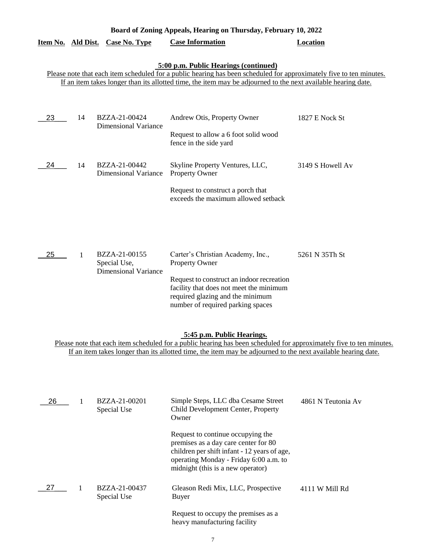|                                                                                                                                                                                                                                                                    | Board of Zoning Appeals, Hearing on Thursday, February 10, 2022                                                                                                                                                                                                               |                                                              |                                                                                                                                                                                                                             |                    |  |  |  |
|--------------------------------------------------------------------------------------------------------------------------------------------------------------------------------------------------------------------------------------------------------------------|-------------------------------------------------------------------------------------------------------------------------------------------------------------------------------------------------------------------------------------------------------------------------------|--------------------------------------------------------------|-----------------------------------------------------------------------------------------------------------------------------------------------------------------------------------------------------------------------------|--------------------|--|--|--|
| Item No. Ald Dist.                                                                                                                                                                                                                                                 |                                                                                                                                                                                                                                                                               | <b>Case No. Type</b>                                         | <b>Case Information</b>                                                                                                                                                                                                     | <b>Location</b>    |  |  |  |
|                                                                                                                                                                                                                                                                    | 5:00 p.m. Public Hearings (continued)<br>Please note that each item scheduled for a public hearing has been scheduled for approximately five to ten minutes.<br>If an item takes longer than its allotted time, the item may be adjourned to the next available hearing date. |                                                              |                                                                                                                                                                                                                             |                    |  |  |  |
| 23                                                                                                                                                                                                                                                                 | 14                                                                                                                                                                                                                                                                            | BZZA-21-00424<br><b>Dimensional Variance</b>                 | Andrew Otis, Property Owner<br>Request to allow a 6 foot solid wood<br>fence in the side yard                                                                                                                               | 1827 E Nock St     |  |  |  |
| 24                                                                                                                                                                                                                                                                 | 14                                                                                                                                                                                                                                                                            | BZZA-21-00442<br><b>Dimensional Variance</b>                 | Skyline Property Ventures, LLC,<br><b>Property Owner</b><br>Request to construct a porch that<br>exceeds the maximum allowed setback                                                                                        | 3149 S Howell Av   |  |  |  |
| 25                                                                                                                                                                                                                                                                 | 1                                                                                                                                                                                                                                                                             | BZZA-21-00155<br>Special Use,<br><b>Dimensional Variance</b> | Carter's Christian Academy, Inc.,<br><b>Property Owner</b><br>Request to construct an indoor recreation<br>facility that does not meet the minimum<br>required glazing and the minimum<br>number of required parking spaces | 5261 N 35Th St     |  |  |  |
| 5:45 p.m. Public Hearings.<br>Please note that each item scheduled for a public hearing has been scheduled for approximately five to ten minutes.<br>If an item takes longer than its allotted time, the item may be adjourned to the next available hearing date. |                                                                                                                                                                                                                                                                               |                                                              |                                                                                                                                                                                                                             |                    |  |  |  |
| 26                                                                                                                                                                                                                                                                 | 1                                                                                                                                                                                                                                                                             | BZZA-21-00201<br>Special Use                                 | Simple Steps, LLC dba Cesame Street<br>Child Development Center, Property<br>Owner<br>Request to continue occupying the<br>premises as a day care center for 80<br>children per shift infant - 12 years of age,             | 4861 N Teutonia Av |  |  |  |
| 27                                                                                                                                                                                                                                                                 | 1                                                                                                                                                                                                                                                                             | BZZA-21-00437<br>Special Use                                 | operating Monday - Friday 6:00 a.m. to<br>midnight (this is a new operator)<br>Gleason Redi Mix, LLC, Prospective<br><b>Buyer</b><br>Request to occupy the premises as a                                                    | 4111 W Mill Rd     |  |  |  |

7

heavy manufacturing facility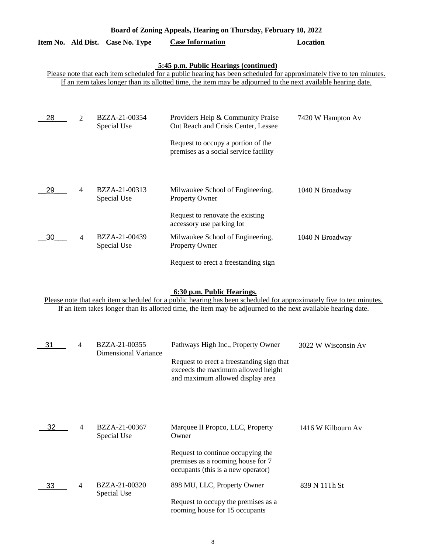| Board of Zoning Appeals, Hearing on Thursday, February 10, 2022 |                |                                  |                                                                                                                                                              |                   |
|-----------------------------------------------------------------|----------------|----------------------------------|--------------------------------------------------------------------------------------------------------------------------------------------------------------|-------------------|
|                                                                 |                | Item No. Ald Dist. Case No. Type | <b>Case Information</b>                                                                                                                                      | <b>Location</b>   |
|                                                                 |                |                                  | 5:45 p.m. Public Hearings (continued)<br>Please note that each item scheduled for a public hearing has been scheduled for approximately five to ten minutes. |                   |
|                                                                 |                |                                  | If an item takes longer than its allotted time, the item may be adjourned to the next available hearing date.                                                |                   |
| 28                                                              | 2              | BZZA-21-00354<br>Special Use     | Providers Help & Community Praise<br>Out Reach and Crisis Center, Lessee                                                                                     | 7420 W Hampton Av |
|                                                                 |                |                                  | Request to occupy a portion of the<br>premises as a social service facility                                                                                  |                   |
| 29                                                              | $\overline{4}$ | BZZA-21-00313<br>Special Use     | Milwaukee School of Engineering,<br>Property Owner                                                                                                           | 1040 N Broadway   |
|                                                                 |                |                                  | Request to renovate the existing<br>accessory use parking lot                                                                                                |                   |
| 30                                                              | $\overline{4}$ | BZZA-21-00439<br>Special Use     | Milwaukee School of Engineering,<br>Property Owner                                                                                                           | 1040 N Broadway   |
|                                                                 |                |                                  | Request to erect a freestanding sign                                                                                                                         |                   |

### **6:30 p.m. Public Hearings.**

Please note that each item scheduled for a public hearing has been scheduled for approximately five to ten minutes. If an item takes longer than its allotted time, the item may be adjourned to the next available hearing date.

| 31 | 4              | BZZA-21-00355                | Pathways High Inc., Property Owner                                                                                  | 3022 W Wisconsin Av |
|----|----------------|------------------------------|---------------------------------------------------------------------------------------------------------------------|---------------------|
|    |                | Dimensional Variance         | Request to erect a freestanding sign that<br>exceeds the maximum allowed height<br>and maximum allowed display area |                     |
|    |                |                              |                                                                                                                     |                     |
| 32 | $\overline{4}$ | BZZA-21-00367<br>Special Use | Marquee II Propco, LLC, Property<br>Owner                                                                           | 1416 W Kilbourn Av  |
|    |                |                              | Request to continue occupying the<br>premises as a rooming house for 7<br>occupants (this is a new operator)        |                     |
| 33 | 4              | BZZA-21-00320<br>Special Use | 898 MU, LLC, Property Owner                                                                                         | 839 N 11Th St       |
|    |                |                              | Request to occupy the premises as a<br>rooming house for 15 occupants                                               |                     |